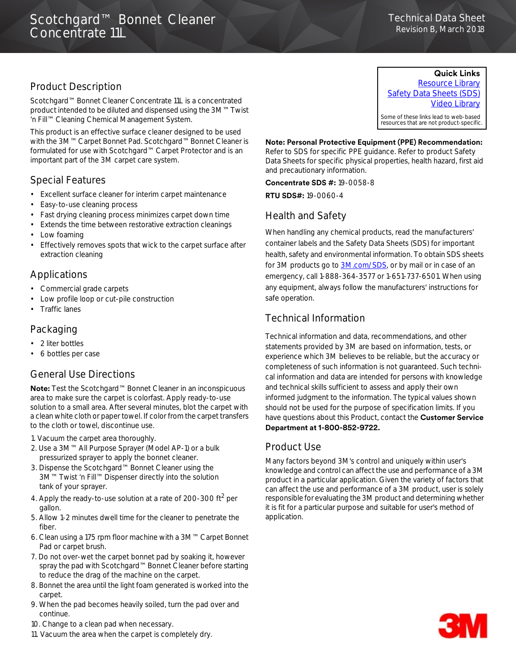### Technical Data Technical Data Sheet Revision B, March 2018

# Product Description

Scotchgard™ Bonnet Cleaner Concentrate 11L is a concentrated product intended to be diluted and dispensed using the 3M™ Twist 'n Fill™ Cleaning Chemical Management System.

This product is an effective surface cleaner designed to be used with the 3M™ Carpet Bonnet Pad. Scotchgard™ Bonnet Cleaner is formulated for use with Scotchgard™ Carpet Protector and is an important part of the 3M carpet care system.

## Special Features

- Excellent surface cleaner for interim carpet maintenance
- Easy-to-use cleaning process
- Fast drying cleaning process minimizes carpet down time
- Extends the time between restorative extraction cleanings
- Low foaming
- Effectively removes spots that wick to the carpet surface after extraction cleaning

# Applications

- Commercial grade carpets
- Low profile loop or cut-pile construction
- Traffic lanes

# Packaging

- 2 liter bottles
- 6 bottles per case

## General Use Directions

**Note:** Test the Scotchgard™ Bonnet Cleaner in an inconspicuous area to make sure the carpet is colorfast. Apply ready-to-use solution to a small area. After several minutes, blot the carpet with a clean white cloth or paper towel. If color from the carpet transfers to the cloth or towel, discontinue use.

- 1. Vacuum the carpet area thoroughly.
- 2. Use a 3M™ All Purpose Sprayer (Model AP-1) or a bulk pressurized sprayer to apply the bonnet cleaner.
- 3. Dispense the Scotchgard™ Bonnet Cleaner using the 3M™ Twist 'n Fill™ Dispenser directly into the solution tank of your sprayer.
- 4. Apply the ready-to-use solution at a rate of 200-300 ft<sup>2</sup> per gallon.
- 5. Allow 1-2 minutes dwell time for the cleaner to penetrate the fiber.
- 6. Clean using a 175 rpm floor machine with a 3M™ Carpet Bonnet Pad or carpet brush.
- 7. Do not over-wet the carpet bonnet pad by soaking it, however spray the pad with Scotchgard™ Bonnet Cleaner before starting to reduce the drag of the machine on the carpet.
- 8. Bonnet the area until the light foam generated is worked into the carpet.
- 9. When the pad becomes heavily soiled, turn the pad over and continue.
- 10. Change to a clean pad when necessary.
- 11. Vacuum the area when the carpet is completely dry.

### **Quick Links**

[Resource Library](http://www.3m.com/3M/en_US/commercial-cleaning-us/resources/resource-library/#) [Safety Data Sheets \(SDS\)](http://www.3m.com/3M/en_US/company-us/SDS-search/?gsaAction=msdsSRA&type=ptn&msdsLocale=en_US) [Video Library](http://www.3m.com/3M/en_US/commercial-cleaning-us/resources/video-library/)

Some of these links lead to web-based resources that are not product-specific.

#### **Note: Personal Protective Equipment (PPE) Recommendation:**

Refer to SDS for specific PPE guidance. Refer to product Safety Data Sheets for specific physical properties, health hazard, first aid and precautionary information.

**Concentrate SDS #:** 19-0058-8

**RTU SDS#:** 19-0060-4

## Health and Safety

When handling any chemical products, read the manufacturers' container labels and the Safety Data Sheets (SDS) for important health, safety and environmental information. To obtain SDS sheets for 3M products go to [3M.com/SDS,](http://www.3m.com/sds) or by mail or in case of an emergency, call 1-888-364-3577 or 1-651-737-6501. When using any equipment, always follow the manufacturers' instructions for safe operation.

# Technical Information

Technical information and data, recommendations, and other statements provided by 3M are based on information, tests, or experience which 3M believes to be reliable, but the accuracy or completeness of such information is not guaranteed. Such technical information and data are intended for persons with knowledge and technical skills sufficient to assess and apply their own informed judgment to the information. The typical values shown should not be used for the purpose of specification limits. If you have questions about this Product, contact the **Customer Service Department at 18008529722.**

### Product Use

Many factors beyond 3M's control and uniquely within user's knowledge and control can affect the use and performance of a 3M product in a particular application. Given the variety of factors that can affect the use and performance of a 3M product, user is solely responsible for evaluating the 3M product and determining whether it is fit for a particular purpose and suitable for user's method of application.